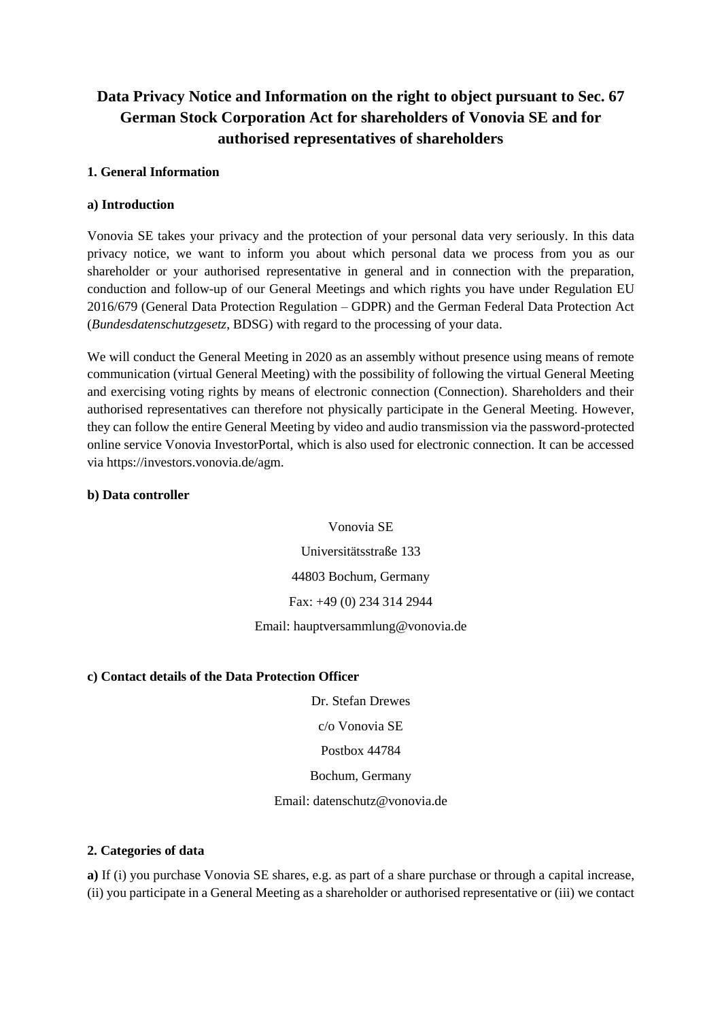# **Data Privacy Notice and Information on the right to object pursuant to Sec. 67 German Stock Corporation Act for shareholders of Vonovia SE and for authorised representatives of shareholders**

## **1. General Information**

## **a) Introduction**

Vonovia SE takes your privacy and the protection of your personal data very seriously. In this data privacy notice, we want to inform you about which personal data we process from you as our shareholder or your authorised representative in general and in connection with the preparation, conduction and follow-up of our General Meetings and which rights you have under Regulation EU 2016/679 (General Data Protection Regulation – GDPR) and the German Federal Data Protection Act (*Bundesdatenschutzgesetz*, BDSG) with regard to the processing of your data.

We will conduct the General Meeting in 2020 as an assembly without presence using means of remote communication (virtual General Meeting) with the possibility of following the virtual General Meeting and exercising voting rights by means of electronic connection (Connection). Shareholders and their authorised representatives can therefore not physically participate in the General Meeting. However, they can follow the entire General Meeting by video and audio transmission via the password-protected online service Vonovia InvestorPortal, which is also used for electronic connection. It can be accessed via https://investors.vonovia.de/agm.

### **b) Data controller**

Vonovia SE Universitätsstraße 133

44803 Bochum, Germany

Fax: +49 (0) 234 314 2944

Email: hauptversammlung@vonovia.de

### **c) Contact details of the Data Protection Officer**

Dr. Stefan Drewes

c/o Vonovia SE

Postbox 44784

Bochum, Germany

Email: datenschutz@vonovia.de

### **2. Categories of data**

**a)** If (i) you purchase Vonovia SE shares, e.g. as part of a share purchase or through a capital increase, (ii) you participate in a General Meeting as a shareholder or authorised representative or (iii) we contact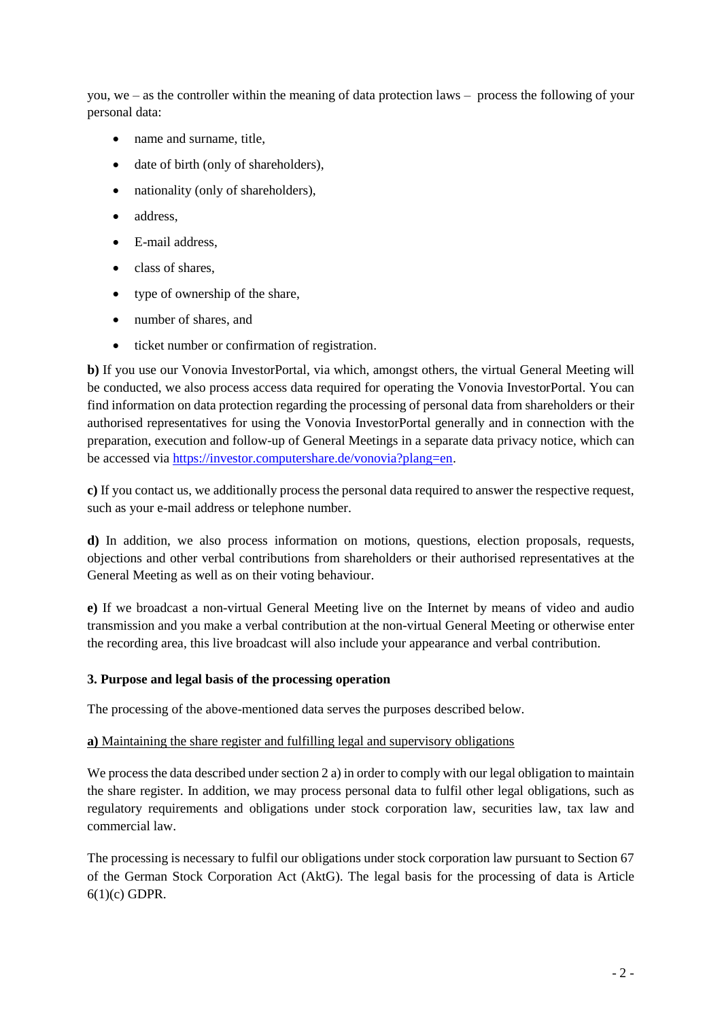you, we – as the controller within the meaning of data protection laws – process the following of your personal data:

- name and surname, title,
- date of birth (only of shareholders),
- nationality (only of shareholders),
- address.
- E-mail address,
- class of shares,
- type of ownership of the share,
- number of shares, and
- ticket number or confirmation of registration.

**b)** If you use our Vonovia InvestorPortal, via which, amongst others, the virtual General Meeting will be conducted, we also process access data required for operating the Vonovia InvestorPortal. You can find information on data protection regarding the processing of personal data from shareholders or their authorised representatives for using the Vonovia InvestorPortal generally and in connection with the preparation, execution and follow-up of General Meetings in a separate data privacy notice, which can be accessed via [https://investor.computershare.de/vonovia?plang=en.](https://investor.computershare.de/vonovia?plang=en)

**c)** If you contact us, we additionally process the personal data required to answer the respective request, such as your e-mail address or telephone number.

**d)** In addition, we also process information on motions, questions, election proposals, requests, objections and other verbal contributions from shareholders or their authorised representatives at the General Meeting as well as on their voting behaviour.

**e)** If we broadcast a non-virtual General Meeting live on the Internet by means of video and audio transmission and you make a verbal contribution at the non-virtual General Meeting or otherwise enter the recording area, this live broadcast will also include your appearance and verbal contribution.

# **3. Purpose and legal basis of the processing operation**

The processing of the above-mentioned data serves the purposes described below.

# **a)** Maintaining the share register and fulfilling legal and supervisory obligations

We process the data described under section 2 a) in order to comply with our legal obligation to maintain the share register. In addition, we may process personal data to fulfil other legal obligations, such as regulatory requirements and obligations under stock corporation law, securities law, tax law and commercial law.

The processing is necessary to fulfil our obligations under stock corporation law pursuant to Section 67 of the German Stock Corporation Act (AktG). The legal basis for the processing of data is Article 6(1)(c) GDPR.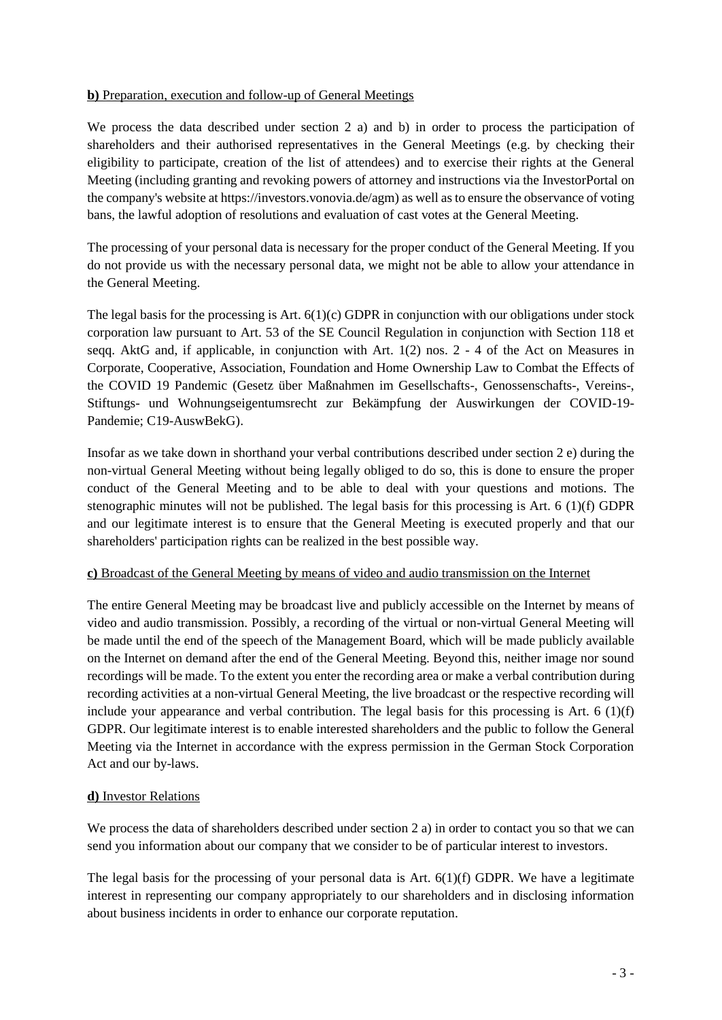# **b)** Preparation, execution and follow-up of General Meetings

We process the data described under section 2 a) and b) in order to process the participation of shareholders and their authorised representatives in the General Meetings (e.g. by checking their eligibility to participate, creation of the list of attendees) and to exercise their rights at the General Meeting (including granting and revoking powers of attorney and instructions via the InvestorPortal on the company's website at https://investors.vonovia.de/agm) as well as to ensure the observance of voting bans, the lawful adoption of resolutions and evaluation of cast votes at the General Meeting.

The processing of your personal data is necessary for the proper conduct of the General Meeting. If you do not provide us with the necessary personal data, we might not be able to allow your attendance in the General Meeting.

The legal basis for the processing is Art.  $6(1)(c)$  GDPR in conjunction with our obligations under stock corporation law pursuant to Art. 53 of the SE Council Regulation in conjunction with Section 118 et seqq. AktG and, if applicable, in conjunction with Art. 1(2) nos. 2 - 4 of the Act on Measures in Corporate, Cooperative, Association, Foundation and Home Ownership Law to Combat the Effects of the COVID 19 Pandemic (Gesetz über Maßnahmen im Gesellschafts-, Genossenschafts-, Vereins-, Stiftungs- und Wohnungseigentumsrecht zur Bekämpfung der Auswirkungen der COVID-19- Pandemie; C19-AuswBekG).

Insofar as we take down in shorthand your verbal contributions described under section 2 e) during the non-virtual General Meeting without being legally obliged to do so, this is done to ensure the proper conduct of the General Meeting and to be able to deal with your questions and motions. The stenographic minutes will not be published. The legal basis for this processing is Art. 6 (1)(f) GDPR and our legitimate interest is to ensure that the General Meeting is executed properly and that our shareholders' participation rights can be realized in the best possible way.

# **c)** Broadcast of the General Meeting by means of video and audio transmission on the Internet

The entire General Meeting may be broadcast live and publicly accessible on the Internet by means of video and audio transmission. Possibly, a recording of the virtual or non-virtual General Meeting will be made until the end of the speech of the Management Board, which will be made publicly available on the Internet on demand after the end of the General Meeting. Beyond this, neither image nor sound recordings will be made. To the extent you enter the recording area or make a verbal contribution during recording activities at a non-virtual General Meeting, the live broadcast or the respective recording will include your appearance and verbal contribution. The legal basis for this processing is Art. 6 (1)(f) GDPR. Our legitimate interest is to enable interested shareholders and the public to follow the General Meeting via the Internet in accordance with the express permission in the German Stock Corporation Act and our by-laws.

# **d)** Investor Relations

We process the data of shareholders described under section 2 a) in order to contact you so that we can send you information about our company that we consider to be of particular interest to investors.

The legal basis for the processing of your personal data is Art.  $6(1)(f)$  GDPR. We have a legitimate interest in representing our company appropriately to our shareholders and in disclosing information about business incidents in order to enhance our corporate reputation.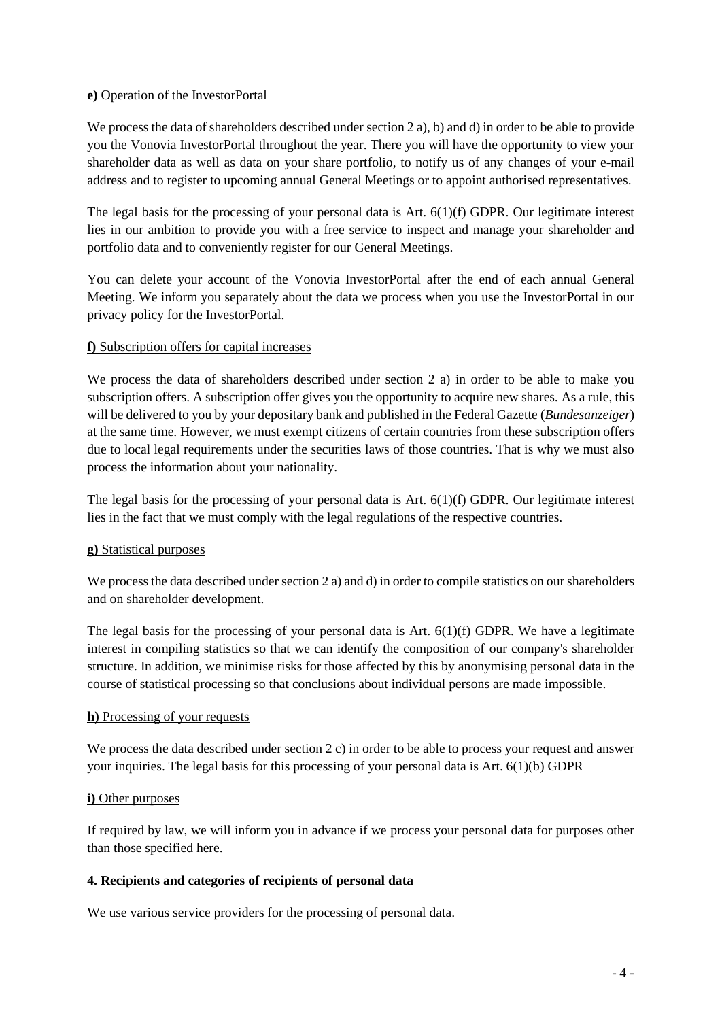## **e)** Operation of the InvestorPortal

We process the data of shareholders described under section 2 a), b) and d) in order to be able to provide you the Vonovia InvestorPortal throughout the year. There you will have the opportunity to view your shareholder data as well as data on your share portfolio, to notify us of any changes of your e-mail address and to register to upcoming annual General Meetings or to appoint authorised representatives.

The legal basis for the processing of your personal data is Art.  $6(1)(f)$  GDPR. Our legitimate interest lies in our ambition to provide you with a free service to inspect and manage your shareholder and portfolio data and to conveniently register for our General Meetings.

You can delete your account of the Vonovia InvestorPortal after the end of each annual General Meeting. We inform you separately about the data we process when you use the InvestorPortal in our privacy policy for the InvestorPortal.

## **f)** Subscription offers for capital increases

We process the data of shareholders described under section 2 a) in order to be able to make you subscription offers. A subscription offer gives you the opportunity to acquire new shares. As a rule, this will be delivered to you by your depositary bank and published in the Federal Gazette (*Bundesanzeiger*) at the same time. However, we must exempt citizens of certain countries from these subscription offers due to local legal requirements under the securities laws of those countries. That is why we must also process the information about your nationality.

The legal basis for the processing of your personal data is Art.  $6(1)(f)$  GDPR. Our legitimate interest lies in the fact that we must comply with the legal regulations of the respective countries.

# **g)** Statistical purposes

We process the data described under section 2 a) and d) in order to compile statistics on our shareholders and on shareholder development.

The legal basis for the processing of your personal data is Art.  $6(1)(f)$  GDPR. We have a legitimate interest in compiling statistics so that we can identify the composition of our company's shareholder structure. In addition, we minimise risks for those affected by this by anonymising personal data in the course of statistical processing so that conclusions about individual persons are made impossible.

### **h)** Processing of your requests

We process the data described under section 2 c) in order to be able to process your request and answer your inquiries. The legal basis for this processing of your personal data is Art. 6(1)(b) GDPR

### **i)** Other purposes

If required by law, we will inform you in advance if we process your personal data for purposes other than those specified here.

# **4. Recipients and categories of recipients of personal data**

We use various service providers for the processing of personal data.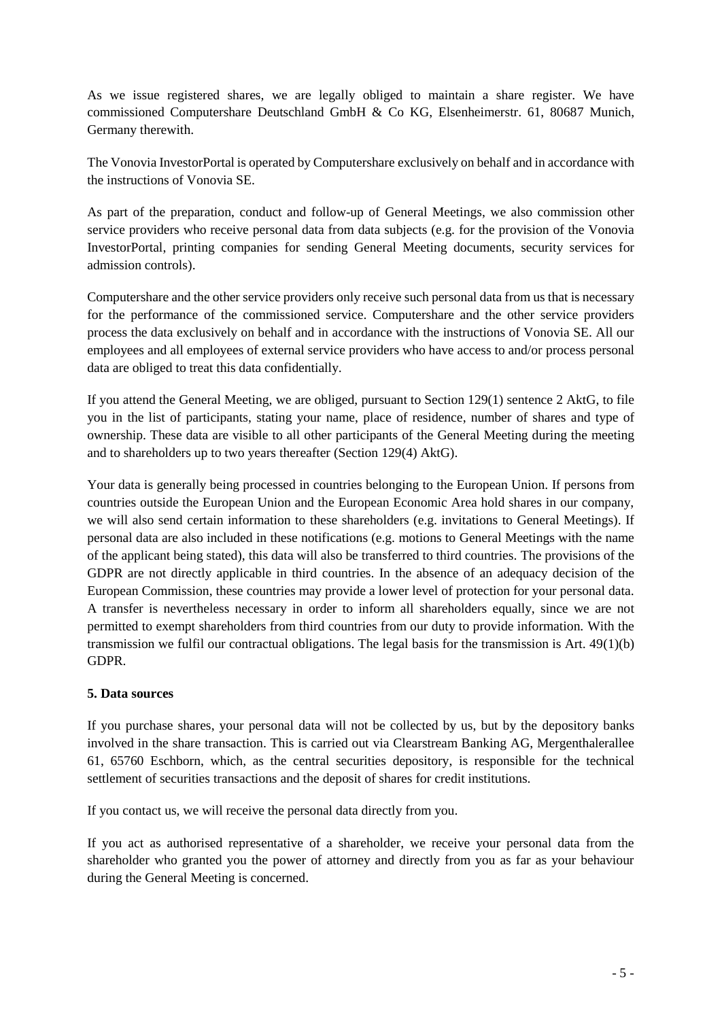As we issue registered shares, we are legally obliged to maintain a share register. We have commissioned Computershare Deutschland GmbH & Co KG, Elsenheimerstr. 61, 80687 Munich, Germany therewith.

The Vonovia InvestorPortal is operated by Computershare exclusively on behalf and in accordance with the instructions of Vonovia SE.

As part of the preparation, conduct and follow-up of General Meetings, we also commission other service providers who receive personal data from data subjects (e.g. for the provision of the Vonovia InvestorPortal, printing companies for sending General Meeting documents, security services for admission controls).

Computershare and the other service providers only receive such personal data from us that is necessary for the performance of the commissioned service. Computershare and the other service providers process the data exclusively on behalf and in accordance with the instructions of Vonovia SE. All our employees and all employees of external service providers who have access to and/or process personal data are obliged to treat this data confidentially.

If you attend the General Meeting, we are obliged, pursuant to Section 129(1) sentence 2 AktG, to file you in the list of participants, stating your name, place of residence, number of shares and type of ownership. These data are visible to all other participants of the General Meeting during the meeting and to shareholders up to two years thereafter (Section 129(4) AktG).

Your data is generally being processed in countries belonging to the European Union. If persons from countries outside the European Union and the European Economic Area hold shares in our company, we will also send certain information to these shareholders (e.g. invitations to General Meetings). If personal data are also included in these notifications (e.g. motions to General Meetings with the name of the applicant being stated), this data will also be transferred to third countries. The provisions of the GDPR are not directly applicable in third countries. In the absence of an adequacy decision of the European Commission, these countries may provide a lower level of protection for your personal data. A transfer is nevertheless necessary in order to inform all shareholders equally, since we are not permitted to exempt shareholders from third countries from our duty to provide information. With the transmission we fulfil our contractual obligations. The legal basis for the transmission is Art. 49(1)(b) GDPR.

# **5. Data sources**

If you purchase shares, your personal data will not be collected by us, but by the depository banks involved in the share transaction. This is carried out via Clearstream Banking AG, Mergenthalerallee 61, 65760 Eschborn, which, as the central securities depository, is responsible for the technical settlement of securities transactions and the deposit of shares for credit institutions.

If you contact us, we will receive the personal data directly from you.

If you act as authorised representative of a shareholder, we receive your personal data from the shareholder who granted you the power of attorney and directly from you as far as your behaviour during the General Meeting is concerned.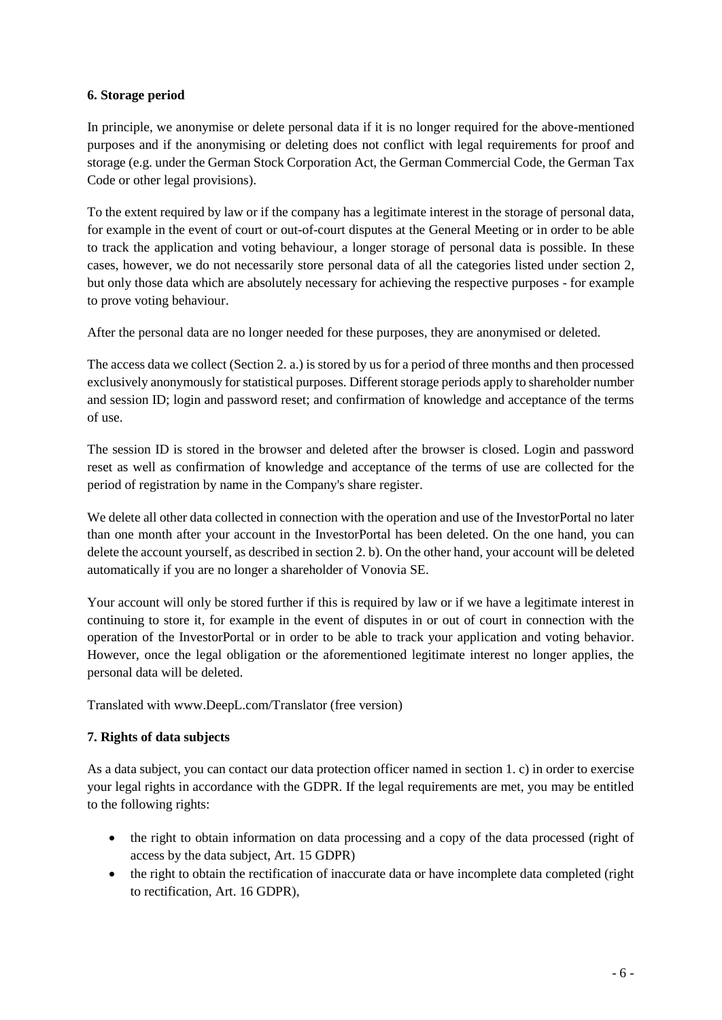# **6. Storage period**

In principle, we anonymise or delete personal data if it is no longer required for the above-mentioned purposes and if the anonymising or deleting does not conflict with legal requirements for proof and storage (e.g. under the German Stock Corporation Act, the German Commercial Code, the German Tax Code or other legal provisions).

To the extent required by law or if the company has a legitimate interest in the storage of personal data, for example in the event of court or out-of-court disputes at the General Meeting or in order to be able to track the application and voting behaviour, a longer storage of personal data is possible. In these cases, however, we do not necessarily store personal data of all the categories listed under section 2, but only those data which are absolutely necessary for achieving the respective purposes - for example to prove voting behaviour.

After the personal data are no longer needed for these purposes, they are anonymised or deleted.

The access data we collect (Section 2. a.) is stored by us for a period of three months and then processed exclusively anonymously for statistical purposes. Different storage periods apply to shareholder number and session ID; login and password reset; and confirmation of knowledge and acceptance of the terms of use.

The session ID is stored in the browser and deleted after the browser is closed. Login and password reset as well as confirmation of knowledge and acceptance of the terms of use are collected for the period of registration by name in the Company's share register.

We delete all other data collected in connection with the operation and use of the InvestorPortal no later than one month after your account in the InvestorPortal has been deleted. On the one hand, you can delete the account yourself, as described in section 2. b). On the other hand, your account will be deleted automatically if you are no longer a shareholder of Vonovia SE.

Your account will only be stored further if this is required by law or if we have a legitimate interest in continuing to store it, for example in the event of disputes in or out of court in connection with the operation of the InvestorPortal or in order to be able to track your application and voting behavior. However, once the legal obligation or the aforementioned legitimate interest no longer applies, the personal data will be deleted.

Translated with www.DeepL.com/Translator (free version)

# **7. Rights of data subjects**

As a data subject, you can contact our data protection officer named in section 1. c) in order to exercise your legal rights in accordance with the GDPR. If the legal requirements are met, you may be entitled to the following rights:

- the right to obtain information on data processing and a copy of the data processed (right of access by the data subject, Art. 15 GDPR)
- the right to obtain the rectification of inaccurate data or have incomplete data completed (right to rectification, Art. 16 GDPR),